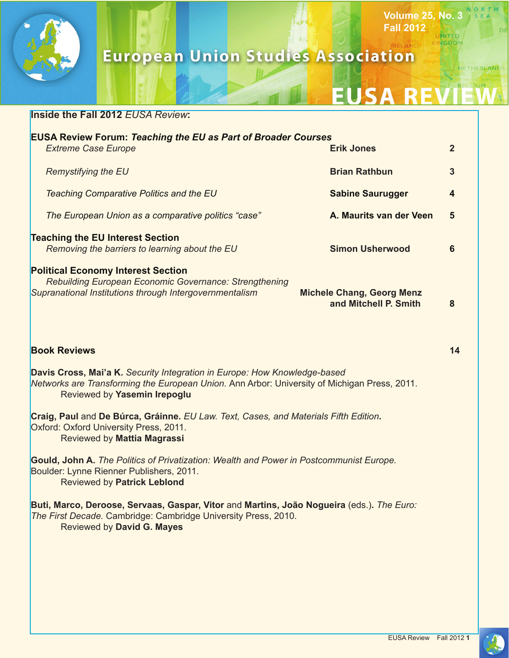

# **European Union Studies Association**

**Volume 25, No. 3**

HEREAN

**Fall 2012**

#### **Inside the Fall 2012** *EUSA Review***:**

| <b>EUSA Review Forum: Teaching the EU as Part of Broader Courses</b> |   |
|----------------------------------------------------------------------|---|
| <b>Erik Jones</b>                                                    |   |
| <b>Brian Rathbun</b>                                                 | 3 |
| <b>Sabine Saurugger</b>                                              | 4 |
| A. Maurits van der Veen                                              | 5 |
| <b>Simon Usherwood</b>                                               | 6 |
| <b>Michele Chang, Georg Menz</b><br>and Mitchell P. Smith            | 8 |
|                                                                      |   |

#### **Book Reviews 14**

**Davis Cross, Mai'a K.** *Security Integration in Europe: How Knowledge-based Networks are Transforming the European Union.* Ann Arbor: University of Michigan Press, 2011. Reviewed by **Yasemin Irepoglu**

**Craig, Paul** and **De Búrca, Gráinne.** *EU Law. Text, Cases, and Materials Fifth Edition***.**  Oxford: Oxford University Press, 2011. Reviewed by **Mattia Magrassi**

**Gould, John A.** *The Politics of Privatization: Wealth and Power in Postcommunist Europe.*  Boulder: Lynne Rienner Publishers, 2011. Reviewed by **Patrick Leblond**

**Buti, Marco, Deroose, Servaas, Gaspar, Vitor** and **Martins, João Nogueira** (eds.)**.** *The Euro: The First Decade.* Cambridge: Cambridge University Press, 2010. Reviewed by **David G. Mayes**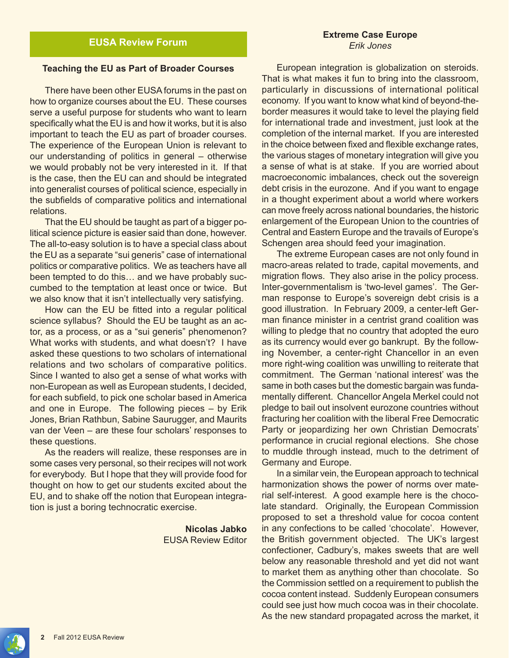#### **Teaching the EU as Part of Broader Courses**

There have been other EUSA forums in the past on how to organize courses about the EU. These courses serve a useful purpose for students who want to learn specifically what the EU is and how it works, but it is also important to teach the EU as part of broader courses. The experience of the European Union is relevant to our understanding of politics in general – otherwise we would probably not be very interested in it. If that is the case, then the EU can and should be integrated into generalist courses of political science, especially in the subfields of comparative politics and international relations.

That the EU should be taught as part of a bigger political science picture is easier said than done, however. The all-to-easy solution is to have a special class about the EU as a separate "sui generis" case of international politics or comparative politics. We as teachers have all been tempted to do this… and we have probably succumbed to the temptation at least once or twice. But we also know that it isn't intellectually very satisfying.

How can the EU be fitted into a regular political science syllabus? Should the EU be taught as an actor, as a process, or as a "sui generis" phenomenon? What works with students, and what doesn't? I have asked these questions to two scholars of international relations and two scholars of comparative politics. Since I wanted to also get a sense of what works with non-European as well as European students, I decided, for each subfield, to pick one scholar based in America and one in Europe. The following pieces – by Erik Jones, Brian Rathbun, Sabine Saurugger, and Maurits van der Veen – are these four scholars' responses to these questions.

As the readers will realize, these responses are in some cases very personal, so their recipes will not work for everybody. But I hope that they will provide food for thought on how to get our students excited about the EU, and to shake off the notion that European integration is just a boring technocratic exercise.

> **Nicolas Jabko** EUSA Review Editor

#### **Extreme Case Europe** *Erik Jones*

European integration is globalization on steroids. That is what makes it fun to bring into the classroom, particularly in discussions of international political economy. If you want to know what kind of beyond-theborder measures it would take to level the playing field for international trade and investment, just look at the completion of the internal market. If you are interested in the choice between fixed and flexible exchange rates, the various stages of monetary integration will give you a sense of what is at stake. If you are worried about macroeconomic imbalances, check out the sovereign debt crisis in the eurozone. And if you want to engage in a thought experiment about a world where workers can move freely across national boundaries, the historic enlargement of the European Union to the countries of Central and Eastern Europe and the travails of Europe's Schengen area should feed your imagination.

The extreme European cases are not only found in macro-areas related to trade, capital movements, and migration flows. They also arise in the policy process. Inter-governmentalism is 'two-level games'. The German response to Europe's sovereign debt crisis is a good illustration. In February 2009, a center-left German finance minister in a centrist grand coalition was willing to pledge that no country that adopted the euro as its currency would ever go bankrupt. By the following November, a center-right Chancellor in an even more right-wing coalition was unwilling to reiterate that commitment. The German 'national interest' was the same in both cases but the domestic bargain was fundamentally different. Chancellor Angela Merkel could not pledge to bail out insolvent eurozone countries without fracturing her coalition with the liberal Free Democratic Party or jeopardizing her own Christian Democrats' performance in crucial regional elections. She chose to muddle through instead, much to the detriment of Germany and Europe.

In a similar vein, the European approach to technical harmonization shows the power of norms over material self-interest. A good example here is the chocolate standard. Originally, the European Commission proposed to set a threshold value for cocoa content in any confections to be called 'chocolate'. However, the British government objected. The UK's largest confectioner, Cadbury's, makes sweets that are well below any reasonable threshold and yet did not want to market them as anything other than chocolate. So the Commission settled on a requirement to publish the cocoa content instead. Suddenly European consumers could see just how much cocoa was in their chocolate. As the new standard propagated across the market, it

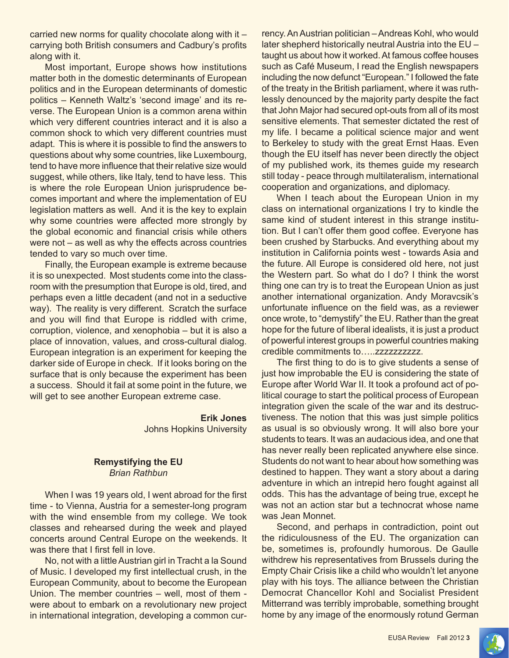carried new norms for quality chocolate along with it – carrying both British consumers and Cadbury's profits along with it.

Most important, Europe shows how institutions matter both in the domestic determinants of European politics and in the European determinants of domestic politics – Kenneth Waltz's 'second image' and its reverse. The European Union is a common arena within which very different countries interact and it is also a common shock to which very different countries must adapt. This is where it is possible to find the answers to questions about why some countries, like Luxembourg, tend to have more influence that their relative size would suggest, while others, like Italy, tend to have less. This is where the role European Union jurisprudence becomes important and where the implementation of EU legislation matters as well. And it is the key to explain why some countries were affected more strongly by the global economic and financial crisis while others were not – as well as why the effects across countries tended to vary so much over time.

Finally, the European example is extreme because it is so unexpected. Most students come into the classroom with the presumption that Europe is old, tired, and perhaps even a little decadent (and not in a seductive way). The reality is very different. Scratch the surface and you will find that Europe is riddled with crime, corruption, violence, and xenophobia – but it is also a place of innovation, values, and cross-cultural dialog. European integration is an experiment for keeping the darker side of Europe in check. If it looks boring on the surface that is only because the experiment has been a success. Should it fail at some point in the future, we will get to see another European extreme case.

> **Erik Jones** Johns Hopkins University

#### **Remystifying the EU** *Brian Rathbun*

When I was 19 years old, I went abroad for the first time - to Vienna, Austria for a semester-long program with the wind ensemble from my college. We took classes and rehearsed during the week and played concerts around Central Europe on the weekends. It was there that I first fell in love.

No, not with a little Austrian girl in Tracht a la Sound of Music. I developed my first intellectual crush, in the European Community, about to become the European Union. The member countries – well, most of them were about to embark on a revolutionary new project in international integration, developing a common currency. An Austrian politician – Andreas Kohl, who would later shepherd historically neutral Austria into the EU – taught us about how it worked. At famous coffee houses such as Café Museum, I read the English newspapers including the now defunct "European." I followed the fate of the treaty in the British parliament, where it was ruthlessly denounced by the majority party despite the fact that John Major had secured opt-outs from all of its most sensitive elements. That semester dictated the rest of my life. I became a political science major and went to Berkeley to study with the great Ernst Haas. Even though the EU itself has never been directly the object of my published work, its themes guide my research still today - peace through multilateralism, international cooperation and organizations, and diplomacy.

When I teach about the European Union in my class on international organizations I try to kindle the same kind of student interest in this strange institution. But I can't offer them good coffee. Everyone has been crushed by Starbucks. And everything about my institution in California points west - towards Asia and the future. All Europe is considered old here, not just the Western part. So what do I do? I think the worst thing one can try is to treat the European Union as just another international organization. Andy Moravcsik's unfortunate influence on the field was, as a reviewer once wrote, to "demystify" the EU. Rather than the great hope for the future of liberal idealists, it is just a product of powerful interest groups in powerful countries making credible commitments to…..zzzzzzzzzz.

The first thing to do is to give students a sense of just how improbable the EU is considering the state of Europe after World War II. It took a profound act of political courage to start the political process of European integration given the scale of the war and its destructiveness. The notion that this was just simple politics as usual is so obviously wrong. It will also bore your students to tears. It was an audacious idea, and one that has never really been replicated anywhere else since. Students do not want to hear about how something was destined to happen. They want a story about a daring adventure in which an intrepid hero fought against all odds. This has the advantage of being true, except he was not an action star but a technocrat whose name was Jean Monnet.

Second, and perhaps in contradiction, point out the ridiculousness of the EU. The organization can be, sometimes is, profoundly humorous. De Gaulle withdrew his representatives from Brussels during the Empty Chair Crisis like a child who wouldn't let anyone play with his toys. The alliance between the Christian Democrat Chancellor Kohl and Socialist President Mitterrand was terribly improbable, something brought home by any image of the enormously rotund German

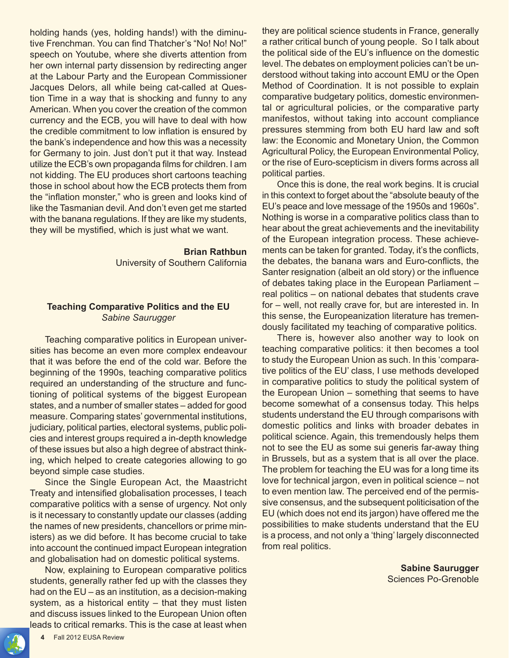holding hands (yes, holding hands!) with the diminutive Frenchman. You can find Thatcher's "No! No! No!" speech on Youtube, where she diverts attention from her own internal party dissension by redirecting anger at the Labour Party and the European Commissioner Jacques Delors, all while being cat-called at Question Time in a way that is shocking and funny to any American. When you cover the creation of the common currency and the ECB, you will have to deal with how the credible commitment to low inflation is ensured by the bank's independence and how this was a necessity for Germany to join. Just don't put it that way. Instead utilize the ECB's own propaganda films for children. I am not kidding. The EU produces short cartoons teaching those in school about how the ECB protects them from the "inflation monster," who is green and looks kind of like the Tasmanian devil. And don't even get me started with the banana regulations. If they are like my students, they will be mystified, which is just what we want.

#### **Brian Rathbun**

University of Southern California

### **Teaching Comparative Politics and the EU** *Sabine Saurugger*

Teaching comparative politics in European universities has become an even more complex endeavour that it was before the end of the cold war. Before the beginning of the 1990s, teaching comparative politics required an understanding of the structure and functioning of political systems of the biggest European states, and a number of smaller states – added for good measure. Comparing states' governmental institutions, judiciary, political parties, electoral systems, public policies and interest groups required a in-depth knowledge of these issues but also a high degree of abstract thinking, which helped to create categories allowing to go beyond simple case studies.

Since the Single European Act, the Maastricht Treaty and intensified globalisation processes, I teach comparative politics with a sense of urgency. Not only is it necessary to constantly update our classes (adding the names of new presidents, chancellors or prime ministers) as we did before. It has become crucial to take into account the continued impact European integration and globalisation had on domestic political systems.

Now, explaining to European comparative politics students, generally rather fed up with the classes they had on the EU – as an institution, as a decision-making system, as a historical entity – that they must listen and discuss issues linked to the European Union often leads to critical remarks. This is the case at least when

they are political science students in France, generally a rather critical bunch of young people. So I talk about the political side of the EU's influence on the domestic level. The debates on employment policies can't be understood without taking into account EMU or the Open Method of Coordination. It is not possible to explain comparative budgetary politics, domestic environmental or agricultural policies, or the comparative party manifestos, without taking into account compliance pressures stemming from both EU hard law and soft law: the Economic and Monetary Union, the Common Agricultural Policy, the European Environmental Policy, or the rise of Euro-scepticism in divers forms across all political parties.

Once this is done, the real work begins. It is crucial in this context to forget about the "absolute beauty of the EU's peace and love message of the 1950s and 1960s". Nothing is worse in a comparative politics class than to hear about the great achievements and the inevitability of the European integration process. These achievements can be taken for granted. Today, it's the conflicts, the debates, the banana wars and Euro-conflicts, the Santer resignation (albeit an old story) or the influence of debates taking place in the European Parliament – real politics – on national debates that students crave for – well, not really crave for, but are interested in. In this sense, the Europeanization literature has tremendously facilitated my teaching of comparative politics.

There is, however also another way to look on teaching comparative politics: it then becomes a tool to study the European Union as such. In this 'comparative politics of the EU' class, I use methods developed in comparative politics to study the political system of the European Union – something that seems to have become somewhat of a consensus today. This helps students understand the EU through comparisons with domestic politics and links with broader debates in political science. Again, this tremendously helps them not to see the EU as some sui generis far-away thing in Brussels, but as a system that is all over the place. The problem for teaching the EU was for a long time its love for technical jargon, even in political science – not to even mention law. The perceived end of the permissive consensus, and the subsequent politicisation of the EU (which does not end its jargon) have offered me the possibilities to make students understand that the EU is a process, and not only a 'thing' largely disconnected from real politics.

> **Sabine Saurugger** Sciences Po-Grenoble

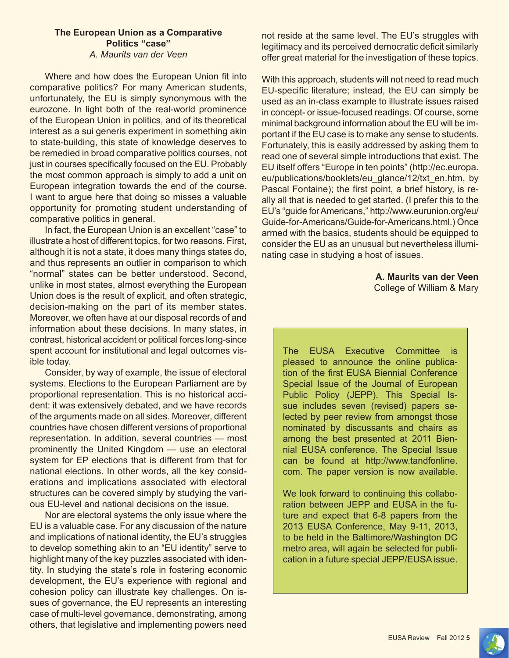#### **The European Union as a Comparative Politics "case"** *A. Maurits van der Veen*

Where and how does the European Union fit into comparative politics? For many American students, unfortunately, the EU is simply synonymous with the eurozone. In light both of the real-world prominence of the European Union in politics, and of its theoretical interest as a sui generis experiment in something akin to state-building, this state of knowledge deserves to be remedied in broad comparative politics courses, not just in courses specifically focused on the EU. Probably the most common approach is simply to add a unit on European integration towards the end of the course. I want to argue here that doing so misses a valuable opportunity for promoting student understanding of comparative politics in general.

In fact, the European Union is an excellent "case" to illustrate a host of different topics, for two reasons. First, although it is not a state, it does many things states do, and thus represents an outlier in comparison to which "normal" states can be better understood. Second, unlike in most states, almost everything the European Union does is the result of explicit, and often strategic, decision-making on the part of its member states. Moreover, we often have at our disposal records of and information about these decisions. In many states, in contrast, historical accident or political forces long-since spent account for institutional and legal outcomes visible today.

Consider, by way of example, the issue of electoral systems. Elections to the European Parliament are by proportional representation. This is no historical accident: it was extensively debated, and we have records of the arguments made on all sides. Moreover, different countries have chosen different versions of proportional representation. In addition, several countries — most prominently the United Kingdom — use an electoral system for EP elections that is different from that for national elections. In other words, all the key considerations and implications associated with electoral structures can be covered simply by studying the various EU-level and national decisions on the issue.

Nor are electoral systems the only issue where the EU is a valuable case. For any discussion of the nature and implications of national identity, the EU's struggles to develop something akin to an "EU identity" serve to highlight many of the key puzzles associated with identity. In studying the state's role in fostering economic development, the EU's experience with regional and cohesion policy can illustrate key challenges. On issues of governance, the EU represents an interesting case of multi-level governance, demonstrating, among others, that legislative and implementing powers need

not reside at the same level. The EU's struggles with legitimacy and its perceived democratic deficit similarly offer great material for the investigation of these topics.

With this approach, students will not need to read much EU-specific literature; instead, the EU can simply be used as an in-class example to illustrate issues raised in concept- or issue-focused readings. Of course, some minimal background information about the EU will be important if the EU case is to make any sense to students. Fortunately, this is easily addressed by asking them to read one of several simple introductions that exist. The EU itself offers "Europe in ten points" (http://ec.europa. eu/publications/booklets/eu\_glance/12/txt\_en.htm, by Pascal Fontaine); the first point, a brief history, is really all that is needed to get started. (I prefer this to the EU's "guide for Americans," http://www.eurunion.org/eu/ Guide-for-Americans/Guide-for-Americans.html.) Once armed with the basics, students should be equipped to consider the EU as an unusual but nevertheless illuminating case in studying a host of issues.

> **A. Maurits van der Veen** College of William & Mary

The EUSA Executive Committee is pleased to announce the online publication of the first EUSA Biennial Conference Special Issue of the Journal of European Public Policy (JEPP). This Special Issue includes seven (revised) papers selected by peer review from amongst those nominated by discussants and chairs as among the best presented at 2011 Biennial EUSA conference. The Special Issue can be found at http://www.tandfonline. com. The paper version is now available.

We look forward to continuing this collaboration between JEPP and EUSA in the future and expect that 6-8 papers from the 2013 EUSA Conference, May 9-11, 2013, to be held in the Baltimore/Washington DC metro area, will again be selected for publication in a future special JEPP/EUSA issue.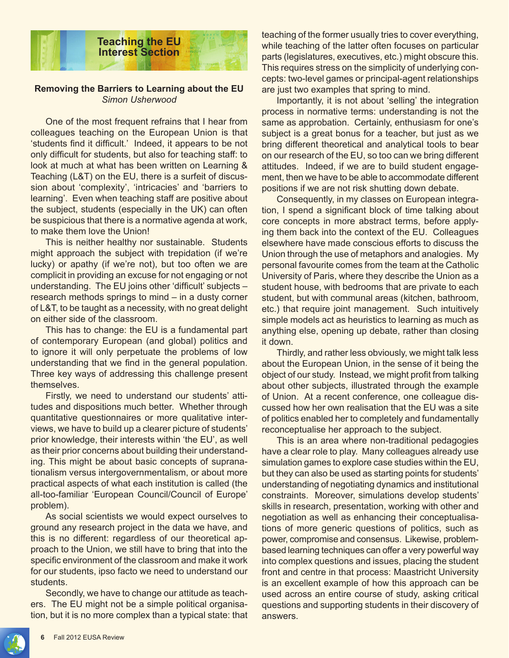

#### **Removing the Barriers to Learning about the EU** *Simon Usherwood*

One of the most frequent refrains that I hear from colleagues teaching on the European Union is that 'students find it difficult.' Indeed, it appears to be not only difficult for students, but also for teaching staff: to look at much at what has been written on Learning & Teaching (L&T) on the EU, there is a surfeit of discussion about 'complexity', 'intricacies' and 'barriers to learning'. Even when teaching staff are positive about the subject, students (especially in the UK) can often be suspicious that there is a normative agenda at work, to make them love the Union!

This is neither healthy nor sustainable. Students might approach the subject with trepidation (if we're lucky) or apathy (if we're not), but too often we are complicit in providing an excuse for not engaging or not understanding. The EU joins other 'difficult' subjects – research methods springs to mind – in a dusty corner of L&T, to be taught as a necessity, with no great delight on either side of the classroom.

This has to change: the EU is a fundamental part of contemporary European (and global) politics and to ignore it will only perpetuate the problems of low understanding that we find in the general population. Three key ways of addressing this challenge present themselves.

Firstly, we need to understand our students' attitudes and dispositions much better. Whether through quantitative questionnaires or more qualitative interviews, we have to build up a clearer picture of students' prior knowledge, their interests within 'the EU', as well as their prior concerns about building their understanding. This might be about basic concepts of supranationalism versus intergovernmentalism, or about more practical aspects of what each institution is called (the all-too-familiar 'European Council/Council of Europe' problem).

As social scientists we would expect ourselves to ground any research project in the data we have, and this is no different: regardless of our theoretical approach to the Union, we still have to bring that into the specific environment of the classroom and make it work for our students, ipso facto we need to understand our students.

Secondly, we have to change our attitude as teachers. The EU might not be a simple political organisation, but it is no more complex than a typical state: that teaching of the former usually tries to cover everything, while teaching of the latter often focuses on particular parts (legislatures, executives, etc.) might obscure this. This requires stress on the simplicity of underlying concepts: two-level games or principal-agent relationships are just two examples that spring to mind.

Importantly, it is not about 'selling' the integration process in normative terms: understanding is not the same as approbation. Certainly, enthusiasm for one's subject is a great bonus for a teacher, but just as we bring different theoretical and analytical tools to bear on our research of the EU, so too can we bring different attitudes. Indeed, if we are to build student engagement, then we have to be able to accommodate different positions if we are not risk shutting down debate.

Consequently, in my classes on European integration, I spend a significant block of time talking about core concepts in more abstract terms, before applying them back into the context of the EU. Colleagues elsewhere have made conscious efforts to discuss the Union through the use of metaphors and analogies. My personal favourite comes from the team at the Catholic University of Paris, where they describe the Union as a student house, with bedrooms that are private to each student, but with communal areas (kitchen, bathroom, etc.) that require joint management. Such intuitively simple models act as heuristics to learning as much as anything else, opening up debate, rather than closing it down.

Thirdly, and rather less obviously, we might talk less about the European Union, in the sense of it being the object of our study. Instead, we might profit from talking about other subjects, illustrated through the example of Union. At a recent conference, one colleague discussed how her own realisation that the EU was a site of politics enabled her to completely and fundamentally reconceptualise her approach to the subject.

This is an area where non-traditional pedagogies have a clear role to play. Many colleagues already use simulation games to explore case studies within the EU, but they can also be used as starting points for students' understanding of negotiating dynamics and institutional constraints. Moreover, simulations develop students' skills in research, presentation, working with other and negotiation as well as enhancing their conceptualisations of more generic questions of politics, such as power, compromise and consensus. Likewise, problembased learning techniques can offer a very powerful way into complex questions and issues, placing the student front and centre in that process: Maastricht University is an excellent example of how this approach can be used across an entire course of study, asking critical questions and supporting students in their discovery of answers.

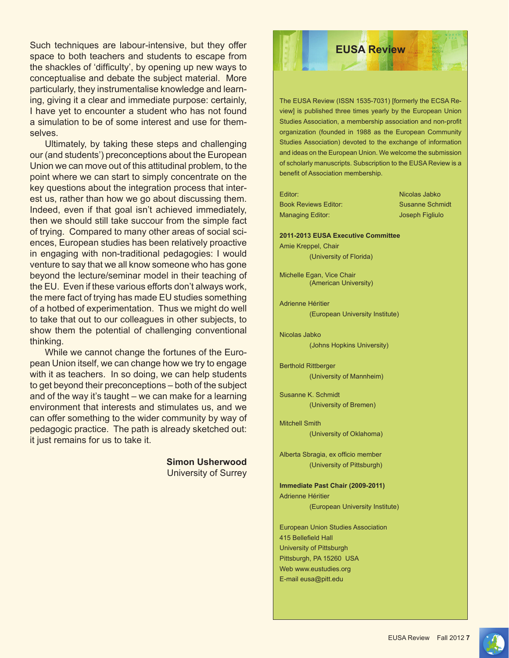Such techniques are labour-intensive, but they offer space to both teachers and students to escape from the shackles of 'difficulty', by opening up new ways to conceptualise and debate the subject material. More particularly, they instrumentalise knowledge and learning, giving it a clear and immediate purpose: certainly, I have yet to encounter a student who has not found a simulation to be of some interest and use for themselves.

Ultimately, by taking these steps and challenging our (and students') preconceptions about the European Union we can move out of this attitudinal problem, to the point where we can start to simply concentrate on the key questions about the integration process that interest us, rather than how we go about discussing them. Indeed, even if that goal isn't achieved immediately, then we should still take succour from the simple fact of trying. Compared to many other areas of social sciences, European studies has been relatively proactive in engaging with non-traditional pedagogies: I would venture to say that we all know someone who has gone beyond the lecture/seminar model in their teaching of the EU. Even if these various efforts don't always work, the mere fact of trying has made EU studies something of a hotbed of experimentation. Thus we might do well to take that out to our colleagues in other subjects, to show them the potential of challenging conventional thinking.

While we cannot change the fortunes of the European Union itself, we can change how we try to engage with it as teachers. In so doing, we can help students to get beyond their preconceptions – both of the subject and of the way it's taught – we can make for a learning environment that interests and stimulates us, and we can offer something to the wider community by way of pedagogic practice. The path is already sketched out: it just remains for us to take it.

> **Simon Usherwood** University of Surrey

## **EUSA Review**

The EUSA Review (ISSN 1535-7031) [formerly the ECSA Review] is published three times yearly by the European Union Studies Association, a membership association and non-profit organization (founded in 1988 as the European Community Studies Association) devoted to the exchange of information and ideas on the European Union. We welcome the submission of scholarly manuscripts. Subscription to the EUSA Review is a benefit of Association membership.

| Editor:                     |  |
|-----------------------------|--|
| <b>Book Reviews Editor:</b> |  |
| Managing Editor:            |  |

Nicolas Jabko Susanne Schmidt Joseph Figliulo

**2011-2013 EUSA Executive Committee** Amie Kreppel, Chair

(University of Florida)

Michelle Egan, Vice Chair (American University)

Adrienne Héritier (European University Institute)

Nicolas Jabko (Johns Hopkins University)

Berthold Rittberger (University of Mannheim)

Susanne K. Schmidt (University of Bremen)

Mitchell Smith (University of Oklahoma)

Alberta Sbragia, ex officio member (University of Pittsburgh)

**Immediate Past Chair (2009-2011)** Adrienne Héritier (European University Institute)

European Union Studies Association 415 Bellefield Hall University of Pittsburgh Pittsburgh, PA 15260 USA Web www.eustudies.org E-mail eusa@pitt.edu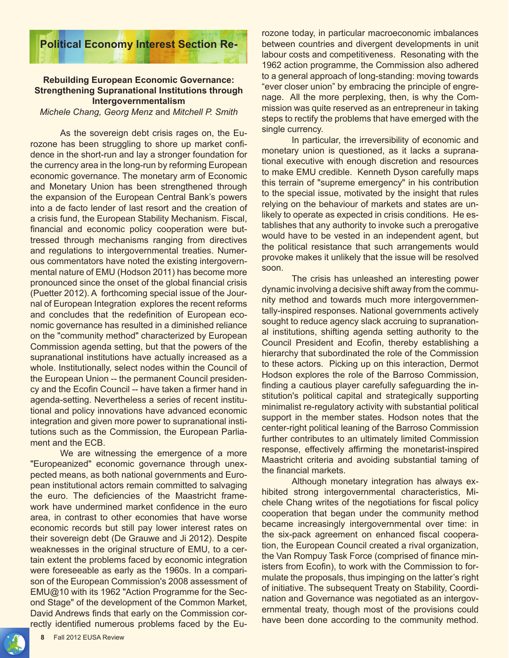

#### **Rebuilding European Economic Governance: Strengthening Supranational Institutions through Intergovernmentalism**

*Michele Chang, Georg Menz* and *Mitchell P. Smith*

As the sovereign debt crisis rages on, the Eurozone has been struggling to shore up market confidence in the short-run and lay a stronger foundation for the currency area in the long-run by reforming European economic governance. The monetary arm of Economic and Monetary Union has been strengthened through the expansion of the European Central Bank's powers into a de facto lender of last resort and the creation of a crisis fund, the European Stability Mechanism. Fiscal, financial and economic policy cooperation were buttressed through mechanisms ranging from directives and regulations to intergovernmental treaties. Numerous commentators have noted the existing intergovernmental nature of EMU (Hodson 2011) has become more pronounced since the onset of the global financial crisis (Puetter 2012). A forthcoming special issue of the Journal of European Integration explores the recent reforms and concludes that the redefinition of European economic governance has resulted in a diminished reliance on the "community method" characterized by European Commission agenda setting, but that the powers of the supranational institutions have actually increased as a whole. Institutionally, select nodes within the Council of the European Union -- the permanent Council presidency and the Ecofin Council -- have taken a firmer hand in agenda-setting. Nevertheless a series of recent institutional and policy innovations have advanced economic integration and given more power to supranational institutions such as the Commission, the European Parliament and the ECB.

We are witnessing the emergence of a more "Europeanized" economic governance through unexpected means, as both national governments and European institutional actors remain committed to salvaging the euro. The deficiencies of the Maastricht framework have undermined market confidence in the euro area, in contrast to other economies that have worse economic records but still pay lower interest rates on their sovereign debt (De Grauwe and Ji 2012). Despite weaknesses in the original structure of EMU, to a certain extent the problems faced by economic integration were foreseeable as early as the 1960s. In a comparison of the European Commission's 2008 assessment of EMU@10 with its 1962 "Action Programme for the Second Stage" of the development of the Common Market, David Andrews finds that early on the Commission correctly identified numerous problems faced by the Eurozone today, in particular macroeconomic imbalances between countries and divergent developments in unit labour costs and competitiveness. Resonating with the 1962 action programme, the Commission also adhered to a general approach of long-standing: moving towards "ever closer union" by embracing the principle of engrenage. All the more perplexing, then, is why the Commission was quite reserved as an entrepreneur in taking steps to rectify the problems that have emerged with the single currency.

In particular, the irreversibility of economic and monetary union is questioned, as it lacks a supranational executive with enough discretion and resources to make EMU credible. Kenneth Dyson carefully maps this terrain of "supreme emergency" in his contribution to the special issue, motivated by the insight that rules relying on the behaviour of markets and states are unlikely to operate as expected in crisis conditions. He establishes that any authority to invoke such a prerogative would have to be vested in an independent agent, but the political resistance that such arrangements would provoke makes it unlikely that the issue will be resolved soon.

The crisis has unleashed an interesting power dynamic involving a decisive shift away from the community method and towards much more intergovernmentally-inspired responses. National governments actively sought to reduce agency slack accruing to supranational institutions, shifting agenda setting authority to the Council President and Ecofin, thereby establishing a hierarchy that subordinated the role of the Commission to these actors. Picking up on this interaction, Dermot Hodson explores the role of the Barroso Commission, finding a cautious player carefully safeguarding the institution's political capital and strategically supporting minimalist re-regulatory activity with substantial political support in the member states. Hodson notes that the center-right political leaning of the Barroso Commission further contributes to an ultimately limited Commission response, effectively affirming the monetarist-inspired Maastricht criteria and avoiding substantial taming of the financial markets.

Although monetary integration has always exhibited strong intergovernmental characteristics, Michele Chang writes of the negotiations for fiscal policy cooperation that began under the community method became increasingly intergovernmental over time: in the six-pack agreement on enhanced fiscal cooperation, the European Council created a rival organization, the Van Rompuy Task Force (comprised of finance ministers from Ecofin), to work with the Commission to formulate the proposals, thus impinging on the latter's right of initiative. The subsequent Treaty on Stability, Coordination and Governance was negotiated as an intergovernmental treaty, though most of the provisions could have been done according to the community method.

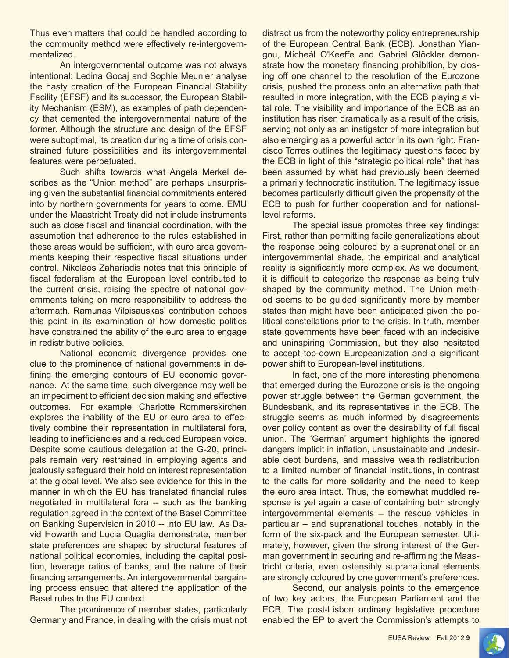Thus even matters that could be handled according to the community method were effectively re-intergovernmentalized.

An intergovernmental outcome was not always intentional: Ledina Gocaj and Sophie Meunier analyse the hasty creation of the European Financial Stability Facility (EFSF) and its successor, the European Stability Mechanism (ESM), as examples of path dependency that cemented the intergovernmental nature of the former. Although the structure and design of the EFSF were suboptimal, its creation during a time of crisis constrained future possibilities and its intergovernmental features were perpetuated.

Such shifts towards what Angela Merkel describes as the "Union method" are perhaps unsurprising given the substantial financial commitments entered into by northern governments for years to come. EMU under the Maastricht Treaty did not include instruments such as close fiscal and financial coordination, with the assumption that adherence to the rules established in these areas would be sufficient, with euro area governments keeping their respective fiscal situations under control. Nikolaos Zahariadis notes that this principle of fiscal federalism at the European level contributed to the current crisis, raising the spectre of national governments taking on more responsibility to address the aftermath. Ramunas Vilpisauskas' contribution echoes this point in its examination of how domestic politics have constrained the ability of the euro area to engage in redistributive policies.

National economic divergence provides one clue to the prominence of national governments in defining the emerging contours of EU economic governance. At the same time, such divergence may well be an impediment to efficient decision making and effective outcomes. For example, Charlotte Rommerskirchen explores the inability of the EU or euro area to effectively combine their representation in multilateral fora, leading to inefficiencies and a reduced European voice. Despite some cautious delegation at the G-20, principals remain very restrained in employing agents and jealously safeguard their hold on interest representation at the global level. We also see evidence for this in the manner in which the EU has translated financial rules negotiated in multilateral fora -- such as the banking regulation agreed in the context of the Basel Committee on Banking Supervision in 2010 -- into EU law. As David Howarth and Lucia Quaglia demonstrate, member state preferences are shaped by structural features of national political economies, including the capital position, leverage ratios of banks, and the nature of their financing arrangements. An intergovernmental bargaining process ensued that altered the application of the Basel rules to the EU context.

The prominence of member states, particularly Germany and France, in dealing with the crisis must not distract us from the noteworthy policy entrepreneurship of the European Central Bank (ECB). Jonathan Yiangou, Mícheál O'Keeffe and Gabriel Glöckler demonstrate how the monetary financing prohibition, by closing off one channel to the resolution of the Eurozone crisis, pushed the process onto an alternative path that resulted in more integration, with the ECB playing a vital role. The visibility and importance of the ECB as an institution has risen dramatically as a result of the crisis, serving not only as an instigator of more integration but also emerging as a powerful actor in its own right. Francisco Torres outlines the legitimacy questions faced by the ECB in light of this "strategic political role" that has been assumed by what had previously been deemed a primarily technocratic institution. The legitimacy issue becomes particularly difficult given the propensity of the ECB to push for further cooperation and for nationallevel reforms.

The special issue promotes three key findings: First, rather than permitting facile generalizations about the response being coloured by a supranational or an intergovernmental shade, the empirical and analytical reality is significantly more complex. As we document, it is difficult to categorize the response as being truly shaped by the community method. The Union method seems to be guided significantly more by member states than might have been anticipated given the political constellations prior to the crisis. In truth, member state governments have been faced with an indecisive and uninspiring Commission, but they also hesitated to accept top-down Europeanization and a significant power shift to European-level institutions.

In fact, one of the more interesting phenomena that emerged during the Eurozone crisis is the ongoing power struggle between the German government, the Bundesbank, and its representatives in the ECB. The struggle seems as much informed by disagreements over policy content as over the desirability of full fiscal union. The 'German' argument highlights the ignored dangers implicit in inflation, unsustainable and undesirable debt burdens, and massive wealth redistribution to a limited number of financial institutions, in contrast to the calls for more solidarity and the need to keep the euro area intact. Thus, the somewhat muddled response is yet again a case of containing both strongly intergovernmental elements – the rescue vehicles in particular – and supranational touches, notably in the form of the six-pack and the European semester. Ultimately, however, given the strong interest of the German government in securing and re-affirming the Maastricht criteria, even ostensibly supranational elements are strongly coloured by one government's preferences.

Second, our analysis points to the emergence of two key actors, the European Parliament and the ECB. The post-Lisbon ordinary legislative procedure enabled the EP to avert the Commission's attempts to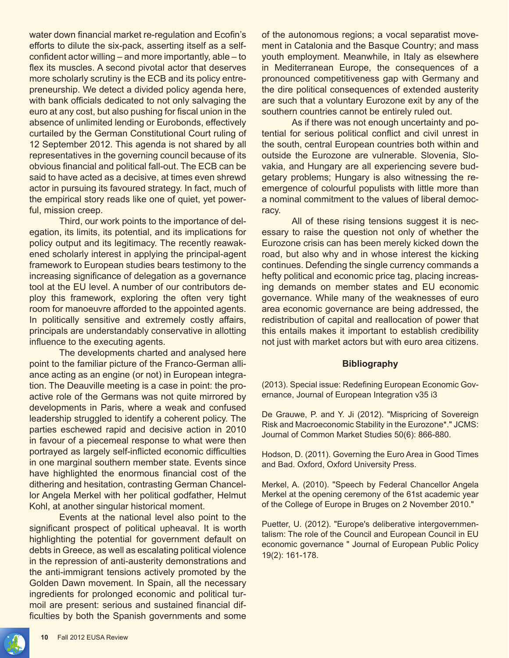water down financial market re-regulation and Ecofin's efforts to dilute the six-pack, asserting itself as a selfconfident actor willing – and more importantly, able – to flex its muscles. A second pivotal actor that deserves more scholarly scrutiny is the ECB and its policy entrepreneurship. We detect a divided policy agenda here, with bank officials dedicated to not only salvaging the euro at any cost, but also pushing for fiscal union in the absence of unlimited lending or Eurobonds, effectively curtailed by the German Constitutional Court ruling of 12 September 2012. This agenda is not shared by all representatives in the governing council because of its obvious financial and political fall-out. The ECB can be said to have acted as a decisive, at times even shrewd actor in pursuing its favoured strategy. In fact, much of the empirical story reads like one of quiet, yet powerful, mission creep.

Third, our work points to the importance of delegation, its limits, its potential, and its implications for policy output and its legitimacy. The recently reawakened scholarly interest in applying the principal-agent framework to European studies bears testimony to the increasing significance of delegation as a governance tool at the EU level. A number of our contributors deploy this framework, exploring the often very tight room for manoeuvre afforded to the appointed agents. In politically sensitive and extremely costly affairs, principals are understandably conservative in allotting influence to the executing agents.

The developments charted and analysed here point to the familiar picture of the Franco-German alliance acting as an engine (or not) in European integration. The Deauville meeting is a case in point: the proactive role of the Germans was not quite mirrored by developments in Paris, where a weak and confused leadership struggled to identify a coherent policy. The parties eschewed rapid and decisive action in 2010 in favour of a piecemeal response to what were then portrayed as largely self-inflicted economic difficulties in one marginal southern member state. Events since have highlighted the enormous financial cost of the dithering and hesitation, contrasting German Chancellor Angela Merkel with her political godfather, Helmut Kohl, at another singular historical moment.

Events at the national level also point to the significant prospect of political upheaval. It is worth highlighting the potential for government default on debts in Greece, as well as escalating political violence in the repression of anti-austerity demonstrations and the anti-immigrant tensions actively promoted by the Golden Dawn movement. In Spain, all the necessary ingredients for prolonged economic and political turmoil are present: serious and sustained financial difficulties by both the Spanish governments and some of the autonomous regions; a vocal separatist movement in Catalonia and the Basque Country; and mass youth employment. Meanwhile, in Italy as elsewhere in Mediterranean Europe, the consequences of a pronounced competitiveness gap with Germany and the dire political consequences of extended austerity are such that a voluntary Eurozone exit by any of the southern countries cannot be entirely ruled out.

As if there was not enough uncertainty and potential for serious political conflict and civil unrest in the south, central European countries both within and outside the Eurozone are vulnerable. Slovenia, Slovakia, and Hungary are all experiencing severe budgetary problems; Hungary is also witnessing the reemergence of colourful populists with little more than a nominal commitment to the values of liberal democracy.

All of these rising tensions suggest it is necessary to raise the question not only of whether the Eurozone crisis can has been merely kicked down the road, but also why and in whose interest the kicking continues. Defending the single currency commands a hefty political and economic price tag, placing increasing demands on member states and EU economic governance. While many of the weaknesses of euro area economic governance are being addressed, the redistribution of capital and reallocation of power that this entails makes it important to establish credibility not just with market actors but with euro area citizens.

#### **Bibliography**

(2013). Special issue: Redefining European Economic Governance, Journal of European Integration v35 i3

De Grauwe, P. and Y. Ji (2012). "Mispricing of Sovereign Risk and Macroeconomic Stability in the Eurozone\*." JCMS: Journal of Common Market Studies 50(6): 866-880.

Hodson, D. (2011). Governing the Euro Area in Good Times and Bad. Oxford, Oxford University Press.

Merkel, A. (2010). "Speech by Federal Chancellor Angela Merkel at the opening ceremony of the 61st academic year of the College of Europe in Bruges on 2 November 2010."

Puetter, U. (2012). "Europe's deliberative intergovernmentalism: The role of the Council and European Council in EU economic governance " Journal of European Public Policy 19(2): 161-178.

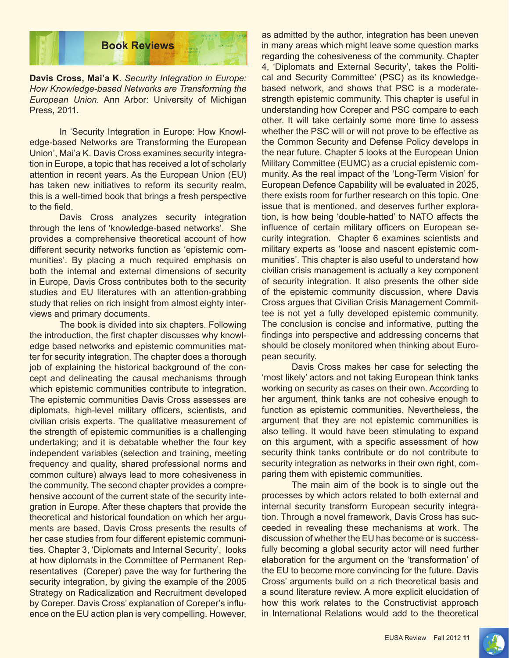

**Davis Cross, Mai'a K**. *Security Integration in Europe: How Knowledge-based Networks are Transforming the European Union.* Ann Arbor: University of Michigan Press, 2011.

In 'Security Integration in Europe: How Knowledge-based Networks are Transforming the European Union', Mai'a K. Davis Cross examines security integration in Europe, a topic that has received a lot of scholarly attention in recent years. As the European Union (EU) has taken new initiatives to reform its security realm, this is a well-timed book that brings a fresh perspective to the field.

Davis Cross analyzes security integration through the lens of 'knowledge-based networks'. She provides a comprehensive theoretical account of how different security networks function as 'epistemic communities'. By placing a much required emphasis on both the internal and external dimensions of security in Europe, Davis Cross contributes both to the security studies and EU literatures with an attention-grabbing study that relies on rich insight from almost eighty interviews and primary documents.

The book is divided into six chapters. Following the introduction, the first chapter discusses why knowledge based networks and epistemic communities matter for security integration. The chapter does a thorough job of explaining the historical background of the concept and delineating the causal mechanisms through which epistemic communities contribute to integration. The epistemic communities Davis Cross assesses are diplomats, high-level military officers, scientists, and civilian crisis experts. The qualitative measurement of the strength of epistemic communities is a challenging undertaking; and it is debatable whether the four key independent variables (selection and training, meeting frequency and quality, shared professional norms and common culture) always lead to more cohesiveness in the community. The second chapter provides a comprehensive account of the current state of the security integration in Europe. After these chapters that provide the theoretical and historical foundation on which her arguments are based, Davis Cross presents the results of her case studies from four different epistemic communities. Chapter 3, 'Diplomats and Internal Security', looks at how diplomats in the Committee of Permanent Representatives (Coreper) pave the way for furthering the security integration, by giving the example of the 2005 Strategy on Radicalization and Recruitment developed by Coreper. Davis Cross' explanation of Coreper's influence on the EU action plan is very compelling. However,

as admitted by the author, integration has been uneven in many areas which might leave some question marks regarding the cohesiveness of the community. Chapter 4, 'Diplomats and External Security', takes the Political and Security Committee' (PSC) as its knowledgebased network, and shows that PSC is a moderatestrength epistemic community. This chapter is useful in understanding how Coreper and PSC compare to each other. It will take certainly some more time to assess whether the PSC will or will not prove to be effective as the Common Security and Defense Policy develops in the near future. Chapter 5 looks at the European Union Military Committee (EUMC) as a crucial epistemic community. As the real impact of the 'Long-Term Vision' for European Defence Capability will be evaluated in 2025, there exists room for further research on this topic. One issue that is mentioned, and deserves further exploration, is how being 'double-hatted' to NATO affects the influence of certain military officers on European security integration. Chapter 6 examines scientists and military experts as 'loose and nascent epistemic communities'. This chapter is also useful to understand how civilian crisis management is actually a key component of security integration. It also presents the other side of the epistemic community discussion, where Davis Cross argues that Civilian Crisis Management Committee is not yet a fully developed epistemic community. The conclusion is concise and informative, putting the findings into perspective and addressing concerns that should be closely monitored when thinking about European security.

Davis Cross makes her case for selecting the 'most likely' actors and not taking European think tanks working on security as cases on their own. According to her argument, think tanks are not cohesive enough to function as epistemic communities. Nevertheless, the argument that they are not epistemic communities is also telling. It would have been stimulating to expand on this argument, with a specific assessment of how security think tanks contribute or do not contribute to security integration as networks in their own right, comparing them with epistemic communities.

The main aim of the book is to single out the processes by which actors related to both external and internal security transform European security integration. Through a novel framework, Davis Cross has succeeded in revealing these mechanisms at work. The discussion of whether the EU has become or is successfully becoming a global security actor will need further elaboration for the argument on the 'transformation' of the EU to become more convincing for the future. Davis Cross' arguments build on a rich theoretical basis and a sound literature review. A more explicit elucidation of how this work relates to the Constructivist approach in International Relations would add to the theoretical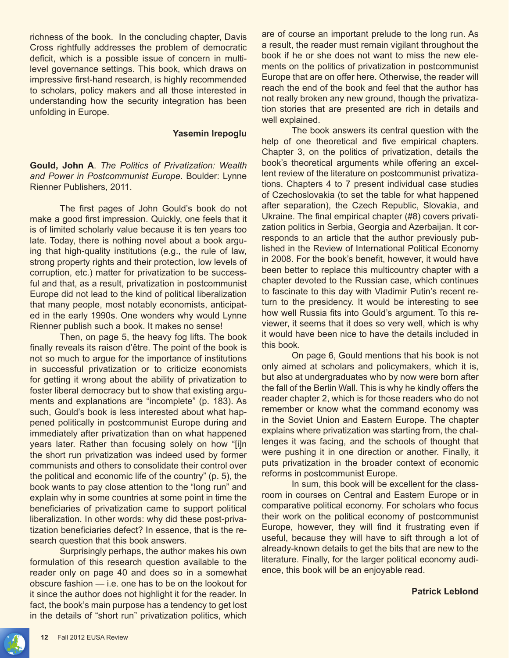richness of the book. In the concluding chapter, Davis Cross rightfully addresses the problem of democratic deficit, which is a possible issue of concern in multilevel governance settings. This book, which draws on impressive first-hand research, is highly recommended to scholars, policy makers and all those interested in understanding how the security integration has been unfolding in Europe.

#### **Yasemin Irepoglu**

**Gould, John A**. *The Politics of Privatization: Wealth and Power in Postcommunist Europe*. Boulder: Lynne Rienner Publishers, 2011.

The first pages of John Gould's book do not make a good first impression. Quickly, one feels that it is of limited scholarly value because it is ten years too late. Today, there is nothing novel about a book arguing that high-quality institutions (e.g., the rule of law, strong property rights and their protection, low levels of corruption, etc.) matter for privatization to be successful and that, as a result, privatization in postcommunist Europe did not lead to the kind of political liberalization that many people, most notably economists, anticipated in the early 1990s. One wonders why would Lynne Rienner publish such a book. It makes no sense!

Then, on page 5, the heavy fog lifts. The book finally reveals its raison d'être. The point of the book is not so much to argue for the importance of institutions in successful privatization or to criticize economists for getting it wrong about the ability of privatization to foster liberal democracy but to show that existing arguments and explanations are "incomplete" (p. 183). As such, Gould's book is less interested about what happened politically in postcommunist Europe during and immediately after privatization than on what happened years later. Rather than focusing solely on how "[i]n the short run privatization was indeed used by former communists and others to consolidate their control over the political and economic life of the country" (p. 5), the book wants to pay close attention to the "long run" and explain why in some countries at some point in time the beneficiaries of privatization came to support political liberalization. In other words: why did these post-privatization beneficiaries defect? In essence, that is the research question that this book answers.

Surprisingly perhaps, the author makes his own formulation of this research question available to the reader only on page 40 and does so in a somewhat obscure fashion — i.e. one has to be on the lookout for it since the author does not highlight it for the reader. In fact, the book's main purpose has a tendency to get lost in the details of "short run" privatization politics, which are of course an important prelude to the long run. As a result, the reader must remain vigilant throughout the book if he or she does not want to miss the new elements on the politics of privatization in postcommunist Europe that are on offer here. Otherwise, the reader will reach the end of the book and feel that the author has not really broken any new ground, though the privatization stories that are presented are rich in details and well explained.

The book answers its central question with the help of one theoretical and five empirical chapters. Chapter 3, on the politics of privatization, details the book's theoretical arguments while offering an excellent review of the literature on postcommunist privatizations. Chapters 4 to 7 present individual case studies of Czechoslovakia (to set the table for what happened after separation), the Czech Republic, Slovakia, and Ukraine. The final empirical chapter (#8) covers privatization politics in Serbia, Georgia and Azerbaijan. It corresponds to an article that the author previously published in the Review of International Political Economy in 2008. For the book's benefit, however, it would have been better to replace this multicountry chapter with a chapter devoted to the Russian case, which continues to fascinate to this day with Vladimir Putin's recent return to the presidency. It would be interesting to see how well Russia fits into Gould's argument. To this reviewer, it seems that it does so very well, which is why it would have been nice to have the details included in this book.

On page 6, Gould mentions that his book is not only aimed at scholars and policymakers, which it is, but also at undergraduates who by now were born after the fall of the Berlin Wall. This is why he kindly offers the reader chapter 2, which is for those readers who do not remember or know what the command economy was in the Soviet Union and Eastern Europe. The chapter explains where privatization was starting from, the challenges it was facing, and the schools of thought that were pushing it in one direction or another. Finally, it puts privatization in the broader context of economic reforms in postcommunist Europe.

In sum, this book will be excellent for the classroom in courses on Central and Eastern Europe or in comparative political economy. For scholars who focus their work on the political economy of postcommunist Europe, however, they will find it frustrating even if useful, because they will have to sift through a lot of already-known details to get the bits that are new to the literature. Finally, for the larger political economy audience, this book will be an enjoyable read.

**Patrick Leblond**

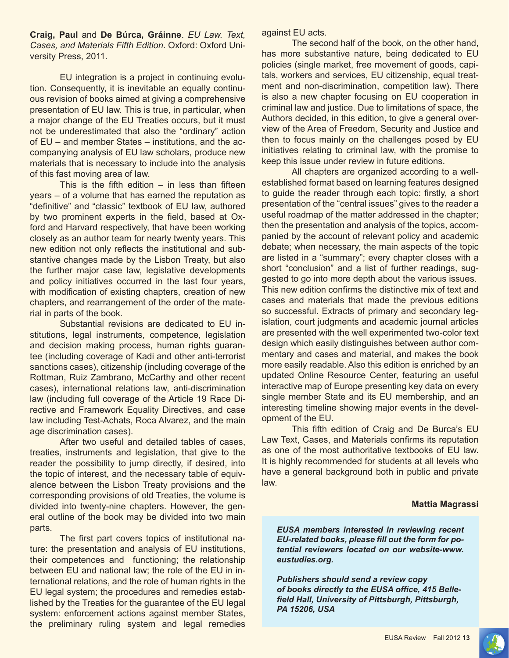**Craig, Paul** and **De Búrca, Gráinne**. *EU Law. Text, Cases, and Materials Fifth Edition*. Oxford: Oxford University Press, 2011.

EU integration is a project in continuing evolution. Consequently, it is inevitable an equally continuous revision of books aimed at giving a comprehensive presentation of EU law. This is true, in particular, when a major change of the EU Treaties occurs, but it must not be underestimated that also the "ordinary" action of EU – and member States – institutions, and the accompanying analysis of EU law scholars, produce new materials that is necessary to include into the analysis of this fast moving area of law.

This is the fifth edition  $-$  in less than fifteen years – of a volume that has earned the reputation as "definitive" and "classic" textbook of EU law, authored by two prominent experts in the field, based at Oxford and Harvard respectively, that have been working closely as an author team for nearly twenty years. This new edition not only reflects the institutional and substantive changes made by the Lisbon Treaty, but also the further major case law, legislative developments and policy initiatives occurred in the last four years, with modification of existing chapters, creation of new chapters, and rearrangement of the order of the material in parts of the book.

Substantial revisions are dedicated to EU institutions, legal instruments, competence, legislation and decision making process, human rights guarantee (including coverage of Kadi and other anti-terrorist sanctions cases), citizenship (including coverage of the Rottman, Ruiz Zambrano, McCarthy and other recent cases), international relations law, anti-discrimination law (including full coverage of the Article 19 Race Directive and Framework Equality Directives, and case law including Test-Achats, Roca Alvarez, and the main age discrimination cases).

After two useful and detailed tables of cases, treaties, instruments and legislation, that give to the reader the possibility to jump directly, if desired, into the topic of interest, and the necessary table of equivalence between the Lisbon Treaty provisions and the corresponding provisions of old Treaties, the volume is divided into twenty-nine chapters. However, the general outline of the book may be divided into two main parts.

The first part covers topics of institutional nature: the presentation and analysis of EU institutions, their competences and functioning; the relationship between EU and national law; the role of the EU in international relations, and the role of human rights in the EU legal system; the procedures and remedies established by the Treaties for the guarantee of the EU legal system: enforcement actions against member States, the preliminary ruling system and legal remedies against EU acts.

The second half of the book, on the other hand, has more substantive nature, being dedicated to EU policies (single market, free movement of goods, capitals, workers and services, EU citizenship, equal treatment and non-discrimination, competition law). There is also a new chapter focusing on EU cooperation in criminal law and justice. Due to limitations of space, the Authors decided, in this edition, to give a general overview of the Area of Freedom, Security and Justice and then to focus mainly on the challenges posed by EU initiatives relating to criminal law, with the promise to keep this issue under review in future editions.

All chapters are organized according to a wellestablished format based on learning features designed to guide the reader through each topic: firstly, a short presentation of the "central issues" gives to the reader a useful roadmap of the matter addressed in the chapter; then the presentation and analysis of the topics, accompanied by the account of relevant policy and academic debate; when necessary, the main aspects of the topic are listed in a "summary"; every chapter closes with a short "conclusion" and a list of further readings, suggested to go into more depth about the various issues. This new edition confirms the distinctive mix of text and cases and materials that made the previous editions so successful. Extracts of primary and secondary legislation, court judgments and academic journal articles are presented with the well experimented two-color text design which easily distinguishes between author commentary and cases and material, and makes the book more easily readable. Also this edition is enriched by an updated Online Resource Center, featuring an useful interactive map of Europe presenting key data on every single member State and its EU membership, and an interesting timeline showing major events in the development of the EU.

This fifth edition of Craig and De Burca's EU Law Text, Cases, and Materials confirms its reputation as one of the most authoritative textbooks of EU law. It is highly recommended for students at all levels who have a general background both in public and private law.

#### **Mattia Magrassi**

*EUSA members interested in reviewing recent EU-related books, please fill out the form for potential reviewers located on our website-www. eustudies.org.*

*Publishers should send a review copy of books directly to the EUSA office, 415 Bellefield Hall, University of Pittsburgh, Pittsburgh, PA 15206, USA*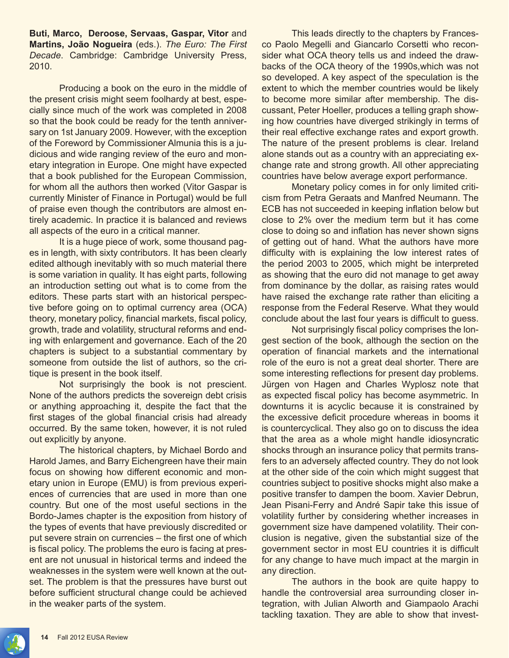**Buti, Marco, Deroose, Servaas, Gaspar, Vitor** and **Martins, João Nogueira** (eds.). *The Euro: The First Decade*. Cambridge: Cambridge University Press, 2010.

Producing a book on the euro in the middle of the present crisis might seem foolhardy at best, especially since much of the work was completed in 2008 so that the book could be ready for the tenth anniversary on 1st January 2009. However, with the exception of the Foreword by Commissioner Almunia this is a judicious and wide ranging review of the euro and monetary integration in Europe. One might have expected that a book published for the European Commission, for whom all the authors then worked (Vitor Gaspar is currently Minister of Finance in Portugal) would be full of praise even though the contributors are almost entirely academic. In practice it is balanced and reviews all aspects of the euro in a critical manner.

It is a huge piece of work, some thousand pages in length, with sixty contributors. It has been clearly edited although inevitably with so much material there is some variation in quality. It has eight parts, following an introduction setting out what is to come from the editors. These parts start with an historical perspective before going on to optimal currency area (OCA) theory, monetary policy, financial markets, fiscal policy, growth, trade and volatility, structural reforms and ending with enlargement and governance. Each of the 20 chapters is subject to a substantial commentary by someone from outside the list of authors, so the critique is present in the book itself.

Not surprisingly the book is not prescient. None of the authors predicts the sovereign debt crisis or anything approaching it, despite the fact that the first stages of the global financial crisis had already occurred. By the same token, however, it is not ruled out explicitly by anyone.

The historical chapters, by Michael Bordo and Harold James, and Barry Eichengreen have their main focus on showing how different economic and monetary union in Europe (EMU) is from previous experiences of currencies that are used in more than one country. But one of the most useful sections in the Bordo-James chapter is the exposition from history of the types of events that have previously discredited or put severe strain on currencies – the first one of which is fiscal policy. The problems the euro is facing at present are not unusual in historical terms and indeed the weaknesses in the system were well known at the outset. The problem is that the pressures have burst out before sufficient structural change could be achieved in the weaker parts of the system.

This leads directly to the chapters by Francesco Paolo Megelli and Giancarlo Corsetti who reconsider what OCA theory tells us and indeed the drawbacks of the OCA theory of the 1990s,which was not so developed. A key aspect of the speculation is the extent to which the member countries would be likely to become more similar after membership. The discussant, Peter Hoeller, produces a telling graph showing how countries have diverged strikingly in terms of their real effective exchange rates and export growth. The nature of the present problems is clear. Ireland alone stands out as a country with an appreciating exchange rate and strong growth. All other appreciating countries have below average export performance.

Monetary policy comes in for only limited criticism from Petra Geraats and Manfred Neumann. The ECB has not succeeded in keeping inflation below but close to 2% over the medium term but it has come close to doing so and inflation has never shown signs of getting out of hand. What the authors have more difficulty with is explaining the low interest rates of the period 2003 to 2005, which might be interpreted as showing that the euro did not manage to get away from dominance by the dollar, as raising rates would have raised the exchange rate rather than eliciting a response from the Federal Reserve. What they would conclude about the last four years is difficult to guess.

Not surprisingly fiscal policy comprises the longest section of the book, although the section on the operation of financial markets and the international role of the euro is not a great deal shorter. There are some interesting reflections for present day problems. Jürgen von Hagen and Charles Wyplosz note that as expected fiscal policy has become asymmetric. In downturns it is acyclic because it is constrained by the excessive deficit procedure whereas in booms it is countercyclical. They also go on to discuss the idea that the area as a whole might handle idiosyncratic shocks through an insurance policy that permits transfers to an adversely affected country. They do not look at the other side of the coin which might suggest that countries subject to positive shocks might also make a positive transfer to dampen the boom. Xavier Debrun, Jean Pisani-Ferry and André Sapir take this issue of volatility further by considering whether increases in government size have dampened volatility. Their conclusion is negative, given the substantial size of the government sector in most EU countries it is difficult for any change to have much impact at the margin in any direction.

The authors in the book are quite happy to handle the controversial area surrounding closer integration, with Julian Alworth and Giampaolo Arachi tackling taxation. They are able to show that invest-